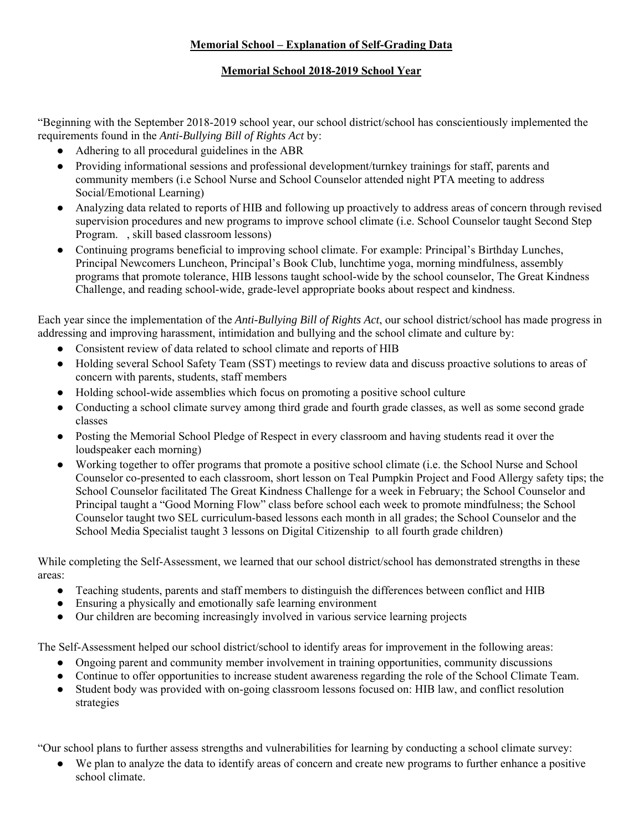## **Memorial School – Explanation of Self-Grading Data**

## **Memorial School 2018-2019 School Year**

"Beginning with the September 2018-2019 school year, our school district/school has conscientiously implemented the requirements found in the *Anti-Bullying Bill of Rights Act* by:

- Adhering to all procedural guidelines in the ABR
- Providing informational sessions and professional development/turnkey trainings for staff, parents and community members (i.e School Nurse and School Counselor attended night PTA meeting to address Social/Emotional Learning)
- Analyzing data related to reports of HIB and following up proactively to address areas of concern through revised supervision procedures and new programs to improve school climate (i.e. School Counselor taught Second Step Program. , skill based classroom lessons)
- Continuing programs beneficial to improving school climate. For example: Principal's Birthday Lunches, Principal Newcomers Luncheon, Principal's Book Club, lunchtime yoga, morning mindfulness, assembly programs that promote tolerance, HIB lessons taught school-wide by the school counselor, The Great Kindness Challenge, and reading school-wide, grade-level appropriate books about respect and kindness.

Each year since the implementation of the *Anti-Bullying Bill of Rights Act*, our school district/school has made progress in addressing and improving harassment, intimidation and bullying and the school climate and culture by:

- Consistent review of data related to school climate and reports of HIB
- Holding several School Safety Team (SST) meetings to review data and discuss proactive solutions to areas of concern with parents, students, staff members
- Holding school-wide assemblies which focus on promoting a positive school culture
- Conducting a school climate survey among third grade and fourth grade classes, as well as some second grade classes
- Posting the Memorial School Pledge of Respect in every classroom and having students read it over the loudspeaker each morning)
- Working together to offer programs that promote a positive school climate (i.e. the School Nurse and School Counselor co-presented to each classroom, short lesson on Teal Pumpkin Project and Food Allergy safety tips; the School Counselor facilitated The Great Kindness Challenge for a week in February; the School Counselor and Principal taught a "Good Morning Flow" class before school each week to promote mindfulness; the School Counselor taught two SEL curriculum-based lessons each month in all grades; the School Counselor and the School Media Specialist taught 3 lessons on Digital Citizenship to all fourth grade children)

While completing the Self-Assessment, we learned that our school district/school has demonstrated strengths in these areas:

- Teaching students, parents and staff members to distinguish the differences between conflict and HIB
- Ensuring a physically and emotionally safe learning environment
- Our children are becoming increasingly involved in various service learning projects

The Self-Assessment helped our school district/school to identify areas for improvement in the following areas:

- Ongoing parent and community member involvement in training opportunities, community discussions
- Continue to offer opportunities to increase student awareness regarding the role of the School Climate Team.
- Student body was provided with on-going classroom lessons focused on: HIB law, and conflict resolution strategies

"Our school plans to further assess strengths and vulnerabilities for learning by conducting a school climate survey:

We plan to analyze the data to identify areas of concern and create new programs to further enhance a positive school climate.